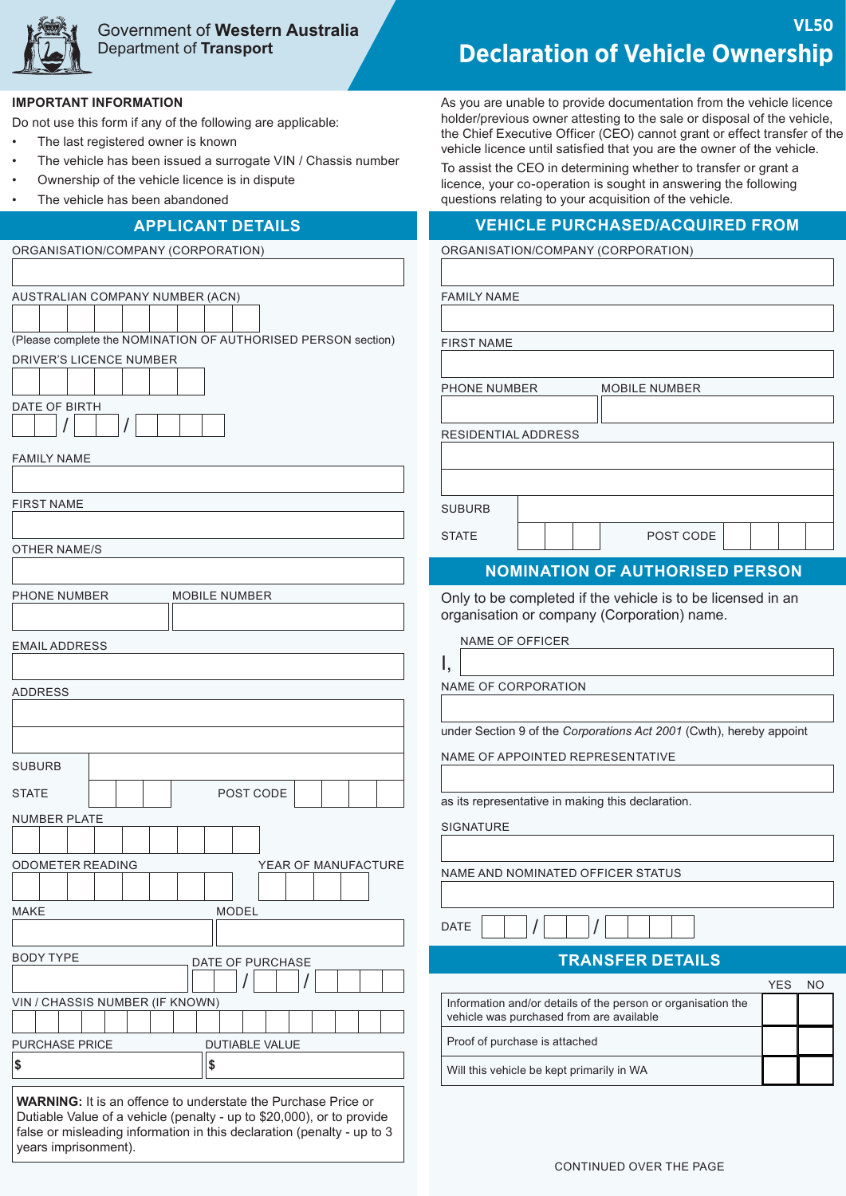

# Government of **Western Australia** Department of **Transport**

### **IMPORTANT INFORMATION**

Do not use this form if any of the following are applicable:

- The last registered owner is known
- The vehicle has been issued a surrogate VIN / Chassis number
- Ownership of the vehicle licence is in dispute
- The vehicle has been abandoned

| AUSTRALIAN COMPANY NUMBER (ACN)                                        |  |  |
|------------------------------------------------------------------------|--|--|
|                                                                        |  |  |
| (Please complete the NOMINATION OF AUTHORISED PERSON section)          |  |  |
| DRIVER'S LICENCE NUMBER                                                |  |  |
|                                                                        |  |  |
|                                                                        |  |  |
| DATE OF BIRTH                                                          |  |  |
|                                                                        |  |  |
| <b>FAMILY NAME</b>                                                     |  |  |
|                                                                        |  |  |
| <b>FIRST NAME</b>                                                      |  |  |
|                                                                        |  |  |
| <b>OTHER NAME/S</b>                                                    |  |  |
|                                                                        |  |  |
| PHONE NUMBER<br><b>MOBILE NUMBER</b>                                   |  |  |
|                                                                        |  |  |
|                                                                        |  |  |
| <b>EMAIL ADDRESS</b>                                                   |  |  |
|                                                                        |  |  |
| <b>ADDRESS</b>                                                         |  |  |
|                                                                        |  |  |
|                                                                        |  |  |
| <b>SUBURB</b>                                                          |  |  |
|                                                                        |  |  |
| POST CODE<br><b>STATE</b>                                              |  |  |
| <b>NUMBER PLATE</b>                                                    |  |  |
|                                                                        |  |  |
| <b>ODOMETER READING</b><br>YEAR OF MANUFACTURE                         |  |  |
|                                                                        |  |  |
| <b>MODEL</b><br><b>MAKE</b>                                            |  |  |
|                                                                        |  |  |
| <b>BODY TYPE</b>                                                       |  |  |
| DATE OF PURCHASE                                                       |  |  |
|                                                                        |  |  |
| VIN / CHASSIS NUMBER (IF KNOWN)                                        |  |  |
| <b>PURCHASE PRICE</b><br><b>DUTIABLE VALUE</b>                         |  |  |
| \$<br>\$                                                               |  |  |
|                                                                        |  |  |
| <b>WARNING:</b> It is an offence to understate the Purchase Price or   |  |  |
| Dutiable Value of a vehicle (penalty - up to \$20,000), or to provide  |  |  |
| false or misleading information in this declaration (penalty - up to 3 |  |  |

# **VL50 Declaration of Vehicle Ownership**

As you are unable to provide documentation from the vehicle licence holder/previous owner attesting to the sale or disposal of the vehicle, the Chief Executive Officer (CEO) cannot grant or effect transfer of the vehicle licence until satisfied that you are the owner of the vehicle.

To assist the CEO in determining whether to transfer or grant a licence, your co-operation is sought in answering the following questions relating to your acquisition of the vehicle.

### **APPLICANT DETAILS VEHICLE PURCHASED/ACQUIRED FROM**

ORGANISATION/COMPANY (CORPORATION) ORGANISATION/COMPANY (CORPORATION)

FAMILY NAME

FIRST NAME

PHONE NUMBER MOBILE NUMBER

RESIDENTIAL ADDRESS

SUBURB

STATE | | | | POST CODE

### **NOMINATION OF AUTHORISED PERSON**

Only to be completed if the vehicle is to be licensed in an organisation or company (Corporation) name.

NAME OF OFFICER

NAME OF CORPORATION

under Section 9 of the *Corporations Act 2001* (Cwth), hereby appoint

NAME OF APPOINTED REPRESENTATIVE

as its representative in making this declaration.

SIGNATURE

DATE

NAME AND NOMINATED OFFICER STATUS

| <b>TRANSFER DETAILS</b> |  |  |
|-------------------------|--|--|
|                         |  |  |

|                                                                                                          | YFS |  |
|----------------------------------------------------------------------------------------------------------|-----|--|
| Information and/or details of the person or organisation the<br>vehicle was purchased from are available |     |  |
| Proof of purchase is attached                                                                            |     |  |
| Will this vehicle be kept primarily in WA                                                                |     |  |